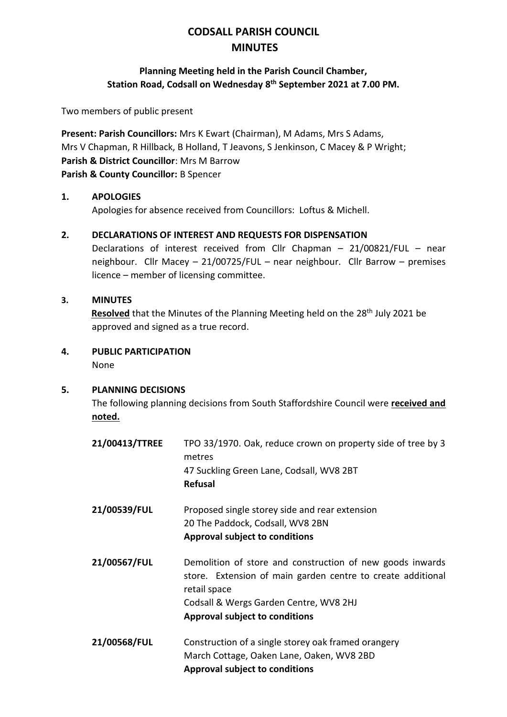# **CODSALL PARISH COUNCIL MINUTES**

### **Planning Meeting held in the Parish Council Chamber, Station Road, Codsall on Wednesday 8 th September 2021 at 7.00 PM.**

Two members of public present

**Present: Parish Councillors:** Mrs K Ewart (Chairman), M Adams, Mrs S Adams, Mrs V Chapman, R Hillback, B Holland, T Jeavons, S Jenkinson, C Macey & P Wright; **Parish & District Councillor**: Mrs M Barrow **Parish & County Councillor:** B Spencer

### **1. APOLOGIES**

Apologies for absence received from Councillors: Loftus & Michell.

#### **2. DECLARATIONS OF INTEREST AND REQUESTS FOR DISPENSATION**

Declarations of interest received from Cllr Chapman – 21/00821/FUL – near neighbour. Cllr Macey – 21/00725/FUL – near neighbour. Cllr Barrow – premises licence – member of licensing committee.

#### **3. MINUTES**

**Resolved** that the Minutes of the Planning Meeting held on the 28<sup>th</sup> July 2021 be approved and signed as a true record.

**4. PUBLIC PARTICIPATION** None

#### **5. PLANNING DECISIONS**

The following planning decisions from South Staffordshire Council were **received and noted.**

| 21/00413/TTREE | TPO 33/1970. Oak, reduce crown on property side of tree by 3<br>metres<br>47 Suckling Green Lane, Codsall, WV8 2BT<br><b>Refusal</b>                                                                                        |
|----------------|-----------------------------------------------------------------------------------------------------------------------------------------------------------------------------------------------------------------------------|
| 21/00539/FUL   | Proposed single storey side and rear extension<br>20 The Paddock, Codsall, WV8 2BN<br><b>Approval subject to conditions</b>                                                                                                 |
| 21/00567/FUL   | Demolition of store and construction of new goods inwards<br>store. Extension of main garden centre to create additional<br>retail space<br>Codsall & Wergs Garden Centre, WV8 2HJ<br><b>Approval subject to conditions</b> |
| 21/00568/FUL   | Construction of a single storey oak framed orangery<br>March Cottage, Oaken Lane, Oaken, WV8 2BD<br><b>Approval subject to conditions</b>                                                                                   |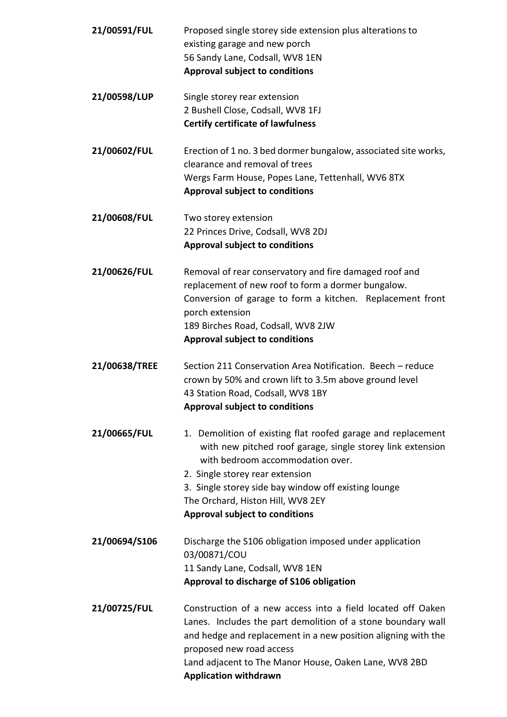| 21/00591/FUL  | Proposed single storey side extension plus alterations to<br>existing garage and new porch<br>56 Sandy Lane, Codsall, WV8 1EN<br><b>Approval subject to conditions</b>                                                                                                                                                                  |
|---------------|-----------------------------------------------------------------------------------------------------------------------------------------------------------------------------------------------------------------------------------------------------------------------------------------------------------------------------------------|
| 21/00598/LUP  | Single storey rear extension<br>2 Bushell Close, Codsall, WV8 1FJ<br><b>Certify certificate of lawfulness</b>                                                                                                                                                                                                                           |
| 21/00602/FUL  | Erection of 1 no. 3 bed dormer bungalow, associated site works,<br>clearance and removal of trees<br>Wergs Farm House, Popes Lane, Tettenhall, WV6 8TX<br><b>Approval subject to conditions</b>                                                                                                                                         |
| 21/00608/FUL  | Two storey extension<br>22 Princes Drive, Codsall, WV8 2DJ<br><b>Approval subject to conditions</b>                                                                                                                                                                                                                                     |
| 21/00626/FUL  | Removal of rear conservatory and fire damaged roof and<br>replacement of new roof to form a dormer bungalow.<br>Conversion of garage to form a kitchen. Replacement front<br>porch extension<br>189 Birches Road, Codsall, WV8 2JW<br><b>Approval subject to conditions</b>                                                             |
| 21/00638/TREE | Section 211 Conservation Area Notification. Beech - reduce<br>crown by 50% and crown lift to 3.5m above ground level<br>43 Station Road, Codsall, WV8 1BY<br><b>Approval subject to conditions</b>                                                                                                                                      |
| 21/00665/FUL  | 1. Demolition of existing flat roofed garage and replacement<br>with new pitched roof garage, single storey link extension<br>with bedroom accommodation over.<br>2. Single storey rear extension<br>3. Single storey side bay window off existing lounge<br>The Orchard, Histon Hill, WV8 2EY<br><b>Approval subject to conditions</b> |
| 21/00694/S106 | Discharge the S106 obligation imposed under application<br>03/00871/COU<br>11 Sandy Lane, Codsall, WV8 1EN<br>Approval to discharge of S106 obligation                                                                                                                                                                                  |
| 21/00725/FUL  | Construction of a new access into a field located off Oaken<br>Lanes. Includes the part demolition of a stone boundary wall<br>and hedge and replacement in a new position aligning with the<br>proposed new road access<br>Land adjacent to The Manor House, Oaken Lane, WV8 2BD<br><b>Application withdrawn</b>                       |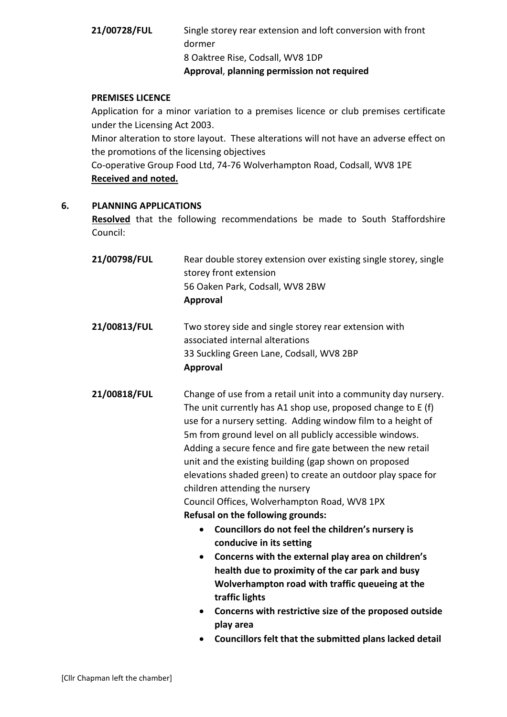# **21/00728/FUL** Single storey rear extension and loft conversion with front dormer 8 Oaktree Rise, Codsall, WV8 1DP **Approval**, **planning permission not required**

#### **PREMISES LICENCE**

Application for a minor variation to a premises licence or club premises certificate under the Licensing Act 2003.

Minor alteration to store layout. These alterations will not have an adverse effect on the promotions of the licensing objectives

Co-operative Group Food Ltd, 74-76 Wolverhampton Road, Codsall, WV8 1PE **Received and noted.**

#### **6. PLANNING APPLICATIONS**

**Resolved** that the following recommendations be made to South Staffordshire Council:

|              | Approval                                                         |
|--------------|------------------------------------------------------------------|
|              | 56 Oaken Park, Codsall, WV8 2BW                                  |
|              | storey front extension                                           |
| 21/00798/FUL | Rear double storey extension over existing single storey, single |

**21/00813/FUL** Two storey side and single storey rear extension with associated internal alterations 33 Suckling Green Lane, Codsall, WV8 2BP **Approval** 

**21/00818/FUL** Change of use from a retail unit into a community day nursery. The unit currently has A1 shop use, proposed change to E (f) use for a nursery setting. Adding window film to a height of 5m from ground level on all publicly accessible windows. Adding a secure fence and fire gate between the new retail unit and the existing building (gap shown on proposed elevations shaded green) to create an outdoor play space for children attending the nursery Council Offices, Wolverhampton Road, WV8 1PX **Refusal on the following grounds:**

- **Councillors do not feel the children's nursery is conducive in its setting**
- **Concerns with the external play area on children's health due to proximity of the car park and busy Wolverhampton road with traffic queueing at the traffic lights**
- **Concerns with restrictive size of the proposed outside play area**
- **Councillors felt that the submitted plans lacked detail**